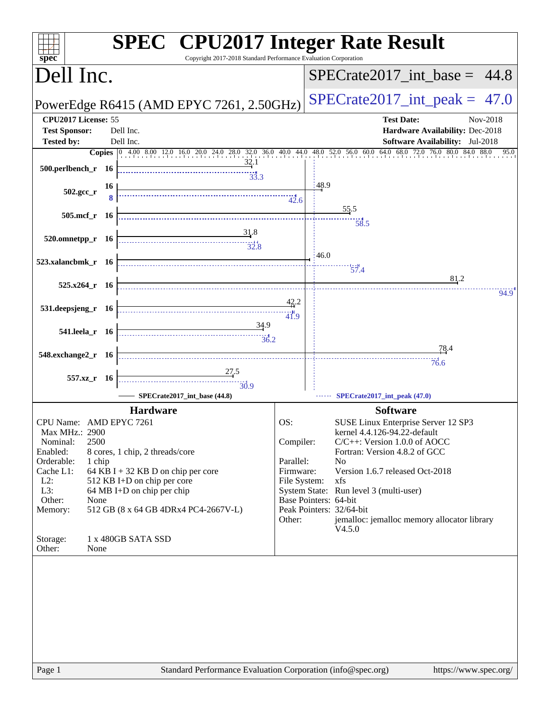| spec<br>Dell Inc.<br>$SPECTate2017\_int\_base = 44.8$<br>$SPECTate2017\_int\_peak = 47.0$<br>PowerEdge R6415 (AMD EPYC 7261, 2.50GHz)<br>CPU2017 License: 55<br><b>Test Date:</b><br>Hardware Availability: Dec-2018<br><b>Test Sponsor:</b><br>Dell Inc.<br>Dell Inc.<br><b>Software Availability:</b> Jul-2018<br><b>Tested by:</b><br><b>Copies</b> $\begin{bmatrix} 0 & 4.00 & 8.00 & 12.0 & 16.0 & 20.0 & 24.0 & 28.0 & 32.0 & 36.0 & 40.0 & 44.0 & 48.0 & 52.0 & 56.0 & 60.0 & 64.0 & 68.0 & 72.0 & 76.0 & 80.0 & 84.0 & 88.0 & 95.0 & 95.0 & 95.0 & 95.0 & 95.0 & 95.0 & 95.0 & 95.0 & 95.0 & 95.0 & 95.0 & 95.0$<br>32.1<br>33.3<br>148.9<br>16<br>$\begin{array}{c c c c c} \hline \multicolumn{3}{c }{\textbf{1}} & \multicolumn{2}{c }{\textbf{2}} & \multicolumn{2}{c }{\textbf{3}} & \multicolumn{2}{c }{\textbf{4}} & \multicolumn{2}{c }{\textbf{5}} \\ \hline \multicolumn{2}{c }{\textbf{1}} & \multicolumn{2}{c }{\textbf{2}} & \multicolumn{2}{c }{\textbf{3}} & \multicolumn{2}{c }{\textbf{4}} & \multicolumn{2}{c }{\textbf{5}} \\ \hline \multicolumn{2}{c }{\textbf{1}} & \multicolumn{2}{c $<br>$502.\text{gcc}_{r}$<br>$\frac{55.5}{2}$<br>505.mcf_r $16$<br>58.5<br>520.omnetpp_r 16 $\frac{31.8}{32.8}$<br>46.0<br>$\overline{57.4}$<br>81.2<br>$525.x264$ <sub>r</sub> 16<br>42.2<br>$531.$ deepsjeng_r 16<br>41.9 | Nov-2018 |
|-------------------------------------------------------------------------------------------------------------------------------------------------------------------------------------------------------------------------------------------------------------------------------------------------------------------------------------------------------------------------------------------------------------------------------------------------------------------------------------------------------------------------------------------------------------------------------------------------------------------------------------------------------------------------------------------------------------------------------------------------------------------------------------------------------------------------------------------------------------------------------------------------------------------------------------------------------------------------------------------------------------------------------------------------------------------------------------------------------------------------------------------------------------------------------------------------------------------------------------------------------------------------------------------------------------------------------------------------|----------|
|                                                                                                                                                                                                                                                                                                                                                                                                                                                                                                                                                                                                                                                                                                                                                                                                                                                                                                                                                                                                                                                                                                                                                                                                                                                                                                                                                 |          |
|                                                                                                                                                                                                                                                                                                                                                                                                                                                                                                                                                                                                                                                                                                                                                                                                                                                                                                                                                                                                                                                                                                                                                                                                                                                                                                                                                 |          |
|                                                                                                                                                                                                                                                                                                                                                                                                                                                                                                                                                                                                                                                                                                                                                                                                                                                                                                                                                                                                                                                                                                                                                                                                                                                                                                                                                 |          |
|                                                                                                                                                                                                                                                                                                                                                                                                                                                                                                                                                                                                                                                                                                                                                                                                                                                                                                                                                                                                                                                                                                                                                                                                                                                                                                                                                 |          |
|                                                                                                                                                                                                                                                                                                                                                                                                                                                                                                                                                                                                                                                                                                                                                                                                                                                                                                                                                                                                                                                                                                                                                                                                                                                                                                                                                 |          |
|                                                                                                                                                                                                                                                                                                                                                                                                                                                                                                                                                                                                                                                                                                                                                                                                                                                                                                                                                                                                                                                                                                                                                                                                                                                                                                                                                 |          |
|                                                                                                                                                                                                                                                                                                                                                                                                                                                                                                                                                                                                                                                                                                                                                                                                                                                                                                                                                                                                                                                                                                                                                                                                                                                                                                                                                 |          |
|                                                                                                                                                                                                                                                                                                                                                                                                                                                                                                                                                                                                                                                                                                                                                                                                                                                                                                                                                                                                                                                                                                                                                                                                                                                                                                                                                 | 94.9     |
|                                                                                                                                                                                                                                                                                                                                                                                                                                                                                                                                                                                                                                                                                                                                                                                                                                                                                                                                                                                                                                                                                                                                                                                                                                                                                                                                                 |          |
| 78.4<br>$548$ .exchange $2\degree$ r 16                                                                                                                                                                                                                                                                                                                                                                                                                                                                                                                                                                                                                                                                                                                                                                                                                                                                                                                                                                                                                                                                                                                                                                                                                                                                                                         |          |
| 76.6<br>557.xz_r 16                                                                                                                                                                                                                                                                                                                                                                                                                                                                                                                                                                                                                                                                                                                                                                                                                                                                                                                                                                                                                                                                                                                                                                                                                                                                                                                             |          |
| - SPECrate2017_int_base (44.8)<br>SPECrate2017_int_peak (47.0)<br><b>Software</b><br><b>Hardware</b>                                                                                                                                                                                                                                                                                                                                                                                                                                                                                                                                                                                                                                                                                                                                                                                                                                                                                                                                                                                                                                                                                                                                                                                                                                            |          |
| CPU Name: AMD EPYC 7261<br>SUSE Linux Enterprise Server 12 SP3<br>OS:<br>kernel 4.4.126-94.22-default<br>Max MHz.: 2900<br>Nominal:<br>2500<br>Compiler:<br>$C/C++$ : Version 1.0.0 of AOCC<br>Enabled:<br>8 cores, 1 chip, 2 threads/core<br>Fortran: Version 4.8.2 of GCC<br>Parallel:<br>Orderable:<br>1 chip<br>N <sub>o</sub><br>Version 1.6.7 released Oct-2018<br>Cache L1:<br>64 KB I + 32 KB D on chip per core<br>Firmware:<br>$L2$ :<br>512 KB I+D on chip per core<br>File System:<br>xfs<br>64 MB I+D on chip per chip<br>L3:<br>System State: Run level 3 (multi-user)<br>Other:<br>Base Pointers: 64-bit<br>None<br>Peak Pointers: 32/64-bit<br>Memory:<br>512 GB (8 x 64 GB 4DRx4 PC4-2667V-L)<br>Other:<br>jemalloc: jemalloc memory allocator library<br>V4.5.0<br>Storage:<br>1 x 480GB SATA SSD<br>Other:<br>None                                                                                                                                                                                                                                                                                                                                                                                                                                                                                                           |          |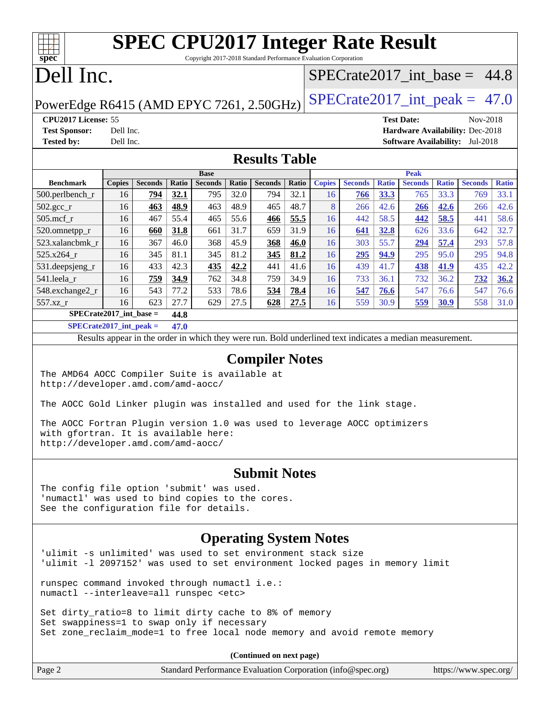| <b>SPEC CPU2017 Integer Rate Result</b><br>Copyright 2017-2018 Standard Performance Evaluation Corporation<br>spec |                                                        |                |       |                |              |                |       |                                  |                |              |                                 |              |                |              |
|--------------------------------------------------------------------------------------------------------------------|--------------------------------------------------------|----------------|-------|----------------|--------------|----------------|-------|----------------------------------|----------------|--------------|---------------------------------|--------------|----------------|--------------|
| Dell Inc.                                                                                                          |                                                        |                |       |                |              |                |       | $SPECTate2017\_int\_base = 44.8$ |                |              |                                 |              |                |              |
| $SPECrate2017\_int\_peak = 47.0$<br>PowerEdge R6415 (AMD EPYC 7261, 2.50GHz)                                       |                                                        |                |       |                |              |                |       |                                  |                |              |                                 |              |                |              |
| CPU2017 License: 55                                                                                                |                                                        |                |       |                |              |                |       |                                  |                |              | <b>Test Date:</b>               |              | Nov-2018       |              |
| <b>Test Sponsor:</b>                                                                                               | Dell Inc.                                              |                |       |                |              |                |       |                                  |                |              | Hardware Availability: Dec-2018 |              |                |              |
| <b>Tested by:</b>                                                                                                  | Dell Inc.<br><b>Software Availability:</b><br>Jul-2018 |                |       |                |              |                |       |                                  |                |              |                                 |              |                |              |
| <b>Results Table</b>                                                                                               |                                                        |                |       |                |              |                |       |                                  |                |              |                                 |              |                |              |
|                                                                                                                    | <b>Base</b><br><b>Peak</b>                             |                |       |                |              |                |       |                                  |                |              |                                 |              |                |              |
| <b>Benchmark</b>                                                                                                   | <b>Copies</b>                                          | <b>Seconds</b> | Ratio | <b>Seconds</b> | <b>Ratio</b> | <b>Seconds</b> | Ratio | <b>Copies</b>                    | <b>Seconds</b> | <b>Ratio</b> | <b>Seconds</b>                  | <b>Ratio</b> | <b>Seconds</b> | <b>Ratio</b> |
| $500.$ perlbench_r                                                                                                 | 16                                                     | 794            | 32.1  | 795            | 32.0         | 794            | 32.1  | 16                               | 766            | 33.3         | 765                             | 33.3         | 769            | 33.1         |
| $502.\text{sec}$                                                                                                   | 16                                                     | 463            | 48.9  | 463            | 48.9         | 465            | 48.7  | 8                                | 266            | 42.6         | <b>266</b>                      | 42.6         | 266            | 42.6         |
| $505$ .mcf r                                                                                                       | 16                                                     | 467            | 55.4  | 465            | 55.6         | 466            | 55.5  | 16                               | 442            | 58.5         | 442                             | 58.5         | 441            | 58.6         |
| 520.omnetpp_r                                                                                                      | 16                                                     | 660            | 31.8  | 661            | 31.7         | 659            | 31.9  | 16                               | 641            | 32.8         | 626                             | 33.6         | 642            | 32.7         |
| 523.xalancbmk r                                                                                                    | 16                                                     | 367            | 46.0  | 368            | 45.9         | 368            | 46.0  | 16                               | 303            | 55.7         | 294                             | 57.4         | 293            | 57.8         |
| $525.x264_r$                                                                                                       | 16                                                     | 345            | 81.1  | 345            | 81.2         | 345            | 81.2  | 16                               | 295            | 94.9         | 295                             | 95.0         | 295            | 94.8         |
| 531.deepsjeng_r                                                                                                    | 16                                                     | 433            | 42.3  | 435            | 42.2         | 441            | 41.6  | 16                               | 439            | 41.7         | 438                             | 41.9         | 435            | 42.2         |
| 541.leela r                                                                                                        | 16                                                     | 759            | 34.9  | 762            | 34.8         | 759            | 34.9  | 16                               | 733            | 36.1         | 732                             | 36.2         | 732            | 36.2         |

**[SPECrate2017\\_int\\_base =](http://www.spec.org/auto/cpu2017/Docs/result-fields.html#SPECrate2017intbase) 44.8**

**[SPECrate2017\\_int\\_peak =](http://www.spec.org/auto/cpu2017/Docs/result-fields.html#SPECrate2017intpeak) 47.0**

Results appear in the [order in which they were run](http://www.spec.org/auto/cpu2017/Docs/result-fields.html#RunOrder). Bold underlined text [indicates a median measurement](http://www.spec.org/auto/cpu2017/Docs/result-fields.html#Median).

[548.exchange2\\_r](http://www.spec.org/auto/cpu2017/Docs/benchmarks/548.exchange2_r.html) 16 543 77.2 533 78.6 **[534](http://www.spec.org/auto/cpu2017/Docs/result-fields.html#Median) [78.4](http://www.spec.org/auto/cpu2017/Docs/result-fields.html#Median)** 16 **[547](http://www.spec.org/auto/cpu2017/Docs/result-fields.html#Median) [76.6](http://www.spec.org/auto/cpu2017/Docs/result-fields.html#Median)** 547 76.6 547 76.6 [557.xz\\_r](http://www.spec.org/auto/cpu2017/Docs/benchmarks/557.xz_r.html) 16 623 27.7 629 27.5 **[628](http://www.spec.org/auto/cpu2017/Docs/result-fields.html#Median) [27.5](http://www.spec.org/auto/cpu2017/Docs/result-fields.html#Median)** 16 559 30.9 **[559](http://www.spec.org/auto/cpu2017/Docs/result-fields.html#Median) [30.9](http://www.spec.org/auto/cpu2017/Docs/result-fields.html#Median)** 558 31.0

#### **[Compiler Notes](http://www.spec.org/auto/cpu2017/Docs/result-fields.html#CompilerNotes)**

The AMD64 AOCC Compiler Suite is available at <http://developer.amd.com/amd-aocc/>

The AOCC Gold Linker plugin was installed and used for the link stage.

The AOCC Fortran Plugin version 1.0 was used to leverage AOCC optimizers with gfortran. It is available here: <http://developer.amd.com/amd-aocc/>

#### **[Submit Notes](http://www.spec.org/auto/cpu2017/Docs/result-fields.html#SubmitNotes)**

The config file option 'submit' was used. 'numactl' was used to bind copies to the cores. See the configuration file for details.

#### **[Operating System Notes](http://www.spec.org/auto/cpu2017/Docs/result-fields.html#OperatingSystemNotes)**

'ulimit -s unlimited' was used to set environment stack size 'ulimit -l 2097152' was used to set environment locked pages in memory limit

runspec command invoked through numactl i.e.: numactl --interleave=all runspec <etc>

Set dirty\_ratio=8 to limit dirty cache to 8% of memory Set swappiness=1 to swap only if necessary Set zone\_reclaim\_mode=1 to free local node memory and avoid remote memory

**(Continued on next page)**

| $\vert$ Page $\angle$ | Standard Performance Evaluation Corporation (info@spec.org) | https://www.spec.org/ |
|-----------------------|-------------------------------------------------------------|-----------------------|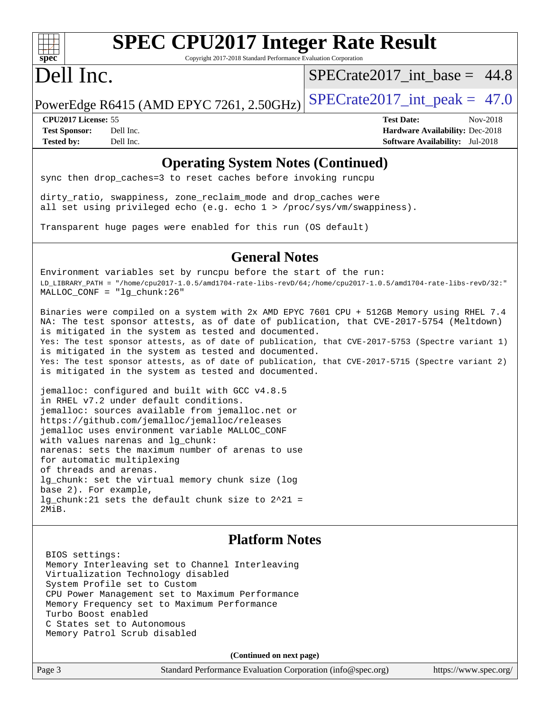

# **[SPEC CPU2017 Integer Rate Result](http://www.spec.org/auto/cpu2017/Docs/result-fields.html#SPECCPU2017IntegerRateResult)**

Copyright 2017-2018 Standard Performance Evaluation Corporation

# Dell Inc.

 $SPECrate2017\_int\_base = 44.8$ 

PowerEdge R6415 (AMD EPYC 7261, 2.50GHz) SPECrate  $2017$ \_int\_peak = 47.0

**[CPU2017 License:](http://www.spec.org/auto/cpu2017/Docs/result-fields.html#CPU2017License)** 55 **[Test Date:](http://www.spec.org/auto/cpu2017/Docs/result-fields.html#TestDate)** Nov-2018 **[Test Sponsor:](http://www.spec.org/auto/cpu2017/Docs/result-fields.html#TestSponsor)** Dell Inc. **[Hardware Availability:](http://www.spec.org/auto/cpu2017/Docs/result-fields.html#HardwareAvailability)** Dec-2018 **[Tested by:](http://www.spec.org/auto/cpu2017/Docs/result-fields.html#Testedby)** Dell Inc. **[Software Availability:](http://www.spec.org/auto/cpu2017/Docs/result-fields.html#SoftwareAvailability)** Jul-2018

#### **[Operating System Notes \(Continued\)](http://www.spec.org/auto/cpu2017/Docs/result-fields.html#OperatingSystemNotes)**

sync then drop\_caches=3 to reset caches before invoking runcpu

dirty\_ratio, swappiness, zone\_reclaim\_mode and drop\_caches were all set using privileged echo (e.g. echo 1 > /proc/sys/vm/swappiness).

Transparent huge pages were enabled for this run (OS default)

#### **[General Notes](http://www.spec.org/auto/cpu2017/Docs/result-fields.html#GeneralNotes)**

Environment variables set by runcpu before the start of the run: LD\_LIBRARY\_PATH = "/home/cpu2017-1.0.5/amd1704-rate-libs-revD/64;/home/cpu2017-1.0.5/amd1704-rate-libs-revD/32:" MALLOC\_CONF = "lg\_chunk:26"

Binaries were compiled on a system with 2x AMD EPYC 7601 CPU + 512GB Memory using RHEL 7.4 NA: The test sponsor attests, as of date of publication, that CVE-2017-5754 (Meltdown) is mitigated in the system as tested and documented. Yes: The test sponsor attests, as of date of publication, that CVE-2017-5753 (Spectre variant 1) is mitigated in the system as tested and documented. Yes: The test sponsor attests, as of date of publication, that CVE-2017-5715 (Spectre variant 2) is mitigated in the system as tested and documented.

jemalloc: configured and built with GCC v4.8.5 in RHEL v7.2 under default conditions. jemalloc: sources available from jemalloc.net or <https://github.com/jemalloc/jemalloc/releases> jemalloc uses environment variable MALLOC\_CONF with values narenas and lg\_chunk: narenas: sets the maximum number of arenas to use for automatic multiplexing of threads and arenas. lg\_chunk: set the virtual memory chunk size (log base 2). For example, lg\_chunk:21 sets the default chunk size to 2^21 = 2MiB.

#### **[Platform Notes](http://www.spec.org/auto/cpu2017/Docs/result-fields.html#PlatformNotes)**

 BIOS settings: Memory Interleaving set to Channel Interleaving Virtualization Technology disabled System Profile set to Custom CPU Power Management set to Maximum Performance Memory Frequency set to Maximum Performance Turbo Boost enabled C States set to Autonomous Memory Patrol Scrub disabled

**(Continued on next page)**

Page 3 Standard Performance Evaluation Corporation [\(info@spec.org\)](mailto:info@spec.org) <https://www.spec.org/>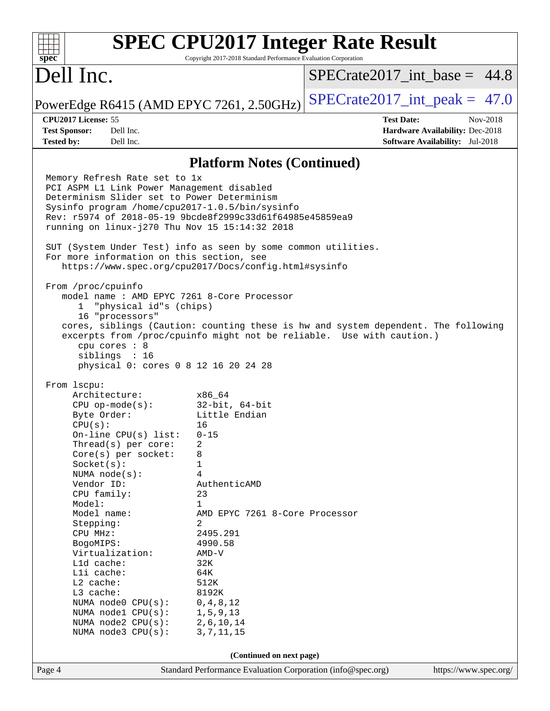|                                                                                                                                                                                                                                                                                                                                                                                                                                                                                                                                                                                                                                                                                                                                                                                                                                                                                                                                                                                                                                                                                                               | <b>SPEC CPU2017 Integer Rate Result</b>                                                                                                                                                                |                   |                                        |  |  |  |
|---------------------------------------------------------------------------------------------------------------------------------------------------------------------------------------------------------------------------------------------------------------------------------------------------------------------------------------------------------------------------------------------------------------------------------------------------------------------------------------------------------------------------------------------------------------------------------------------------------------------------------------------------------------------------------------------------------------------------------------------------------------------------------------------------------------------------------------------------------------------------------------------------------------------------------------------------------------------------------------------------------------------------------------------------------------------------------------------------------------|--------------------------------------------------------------------------------------------------------------------------------------------------------------------------------------------------------|-------------------|----------------------------------------|--|--|--|
| $spec*$<br>Dell Inc.                                                                                                                                                                                                                                                                                                                                                                                                                                                                                                                                                                                                                                                                                                                                                                                                                                                                                                                                                                                                                                                                                          | Copyright 2017-2018 Standard Performance Evaluation Corporation                                                                                                                                        |                   | $SPECTate2017\_int\_base = 44.8$       |  |  |  |
| PowerEdge R6415 (AMD EPYC 7261, 2.50GHz)                                                                                                                                                                                                                                                                                                                                                                                                                                                                                                                                                                                                                                                                                                                                                                                                                                                                                                                                                                                                                                                                      |                                                                                                                                                                                                        |                   | $SPECrate2017\_int\_peak = 47.0$       |  |  |  |
| CPU2017 License: 55                                                                                                                                                                                                                                                                                                                                                                                                                                                                                                                                                                                                                                                                                                                                                                                                                                                                                                                                                                                                                                                                                           |                                                                                                                                                                                                        | <b>Test Date:</b> | Nov-2018                               |  |  |  |
| <b>Test Sponsor:</b><br>Dell Inc.                                                                                                                                                                                                                                                                                                                                                                                                                                                                                                                                                                                                                                                                                                                                                                                                                                                                                                                                                                                                                                                                             |                                                                                                                                                                                                        |                   | Hardware Availability: Dec-2018        |  |  |  |
| <b>Tested by:</b><br>Dell Inc.                                                                                                                                                                                                                                                                                                                                                                                                                                                                                                                                                                                                                                                                                                                                                                                                                                                                                                                                                                                                                                                                                |                                                                                                                                                                                                        |                   | <b>Software Availability:</b> Jul-2018 |  |  |  |
|                                                                                                                                                                                                                                                                                                                                                                                                                                                                                                                                                                                                                                                                                                                                                                                                                                                                                                                                                                                                                                                                                                               |                                                                                                                                                                                                        |                   |                                        |  |  |  |
| Memory Refresh Rate set to 1x<br>PCI ASPM L1 Link Power Management disabled<br>Determinism Slider set to Power Determinism<br>Sysinfo program /home/cpu2017-1.0.5/bin/sysinfo<br>Rev: r5974 of 2018-05-19 9bcde8f2999c33d61f64985e45859ea9<br>running on linux-j270 Thu Nov 15 15:14:32 2018<br>SUT (System Under Test) info as seen by some common utilities.<br>For more information on this section, see<br>https://www.spec.org/cpu2017/Docs/config.html#sysinfo<br>From /proc/cpuinfo<br>model name: AMD EPYC 7261 8-Core Processor<br>"physical id"s (chips)<br>$\mathbf{1}$<br>16 "processors"<br>cores, siblings (Caution: counting these is hw and system dependent. The following<br>excerpts from /proc/cpuinfo might not be reliable. Use with caution.)<br>$cpu$ cores : $8$<br>siblings : 16<br>physical 0: cores 0 8 12 16 20 24 28<br>From 1scpu:<br>Architecture:<br>$CPU$ op-mode( $s$ ):<br>Byte Order:<br>CPU(s):<br>On-line CPU(s) list:<br>Thread(s) per core:<br>Core(s) per socket:<br>Socket(s):<br>NUMA node(s):<br>Vendor ID:<br>CPU family:<br>Model:<br>Model name:<br>Stepping: | <b>Platform Notes (Continued)</b><br>x86_64<br>$32$ -bit, $64$ -bit<br>Little Endian<br>16<br>$0 - 15$<br>2<br>8<br>1<br>4<br>AuthenticAMD<br>23<br>$\mathbf 1$<br>AMD EPYC 7261 8-Core Processor<br>2 |                   |                                        |  |  |  |
| BogoMIPS:                                                                                                                                                                                                                                                                                                                                                                                                                                                                                                                                                                                                                                                                                                                                                                                                                                                                                                                                                                                                                                                                                                     | CPU MHz:<br>2495.291<br>4990.58                                                                                                                                                                        |                   |                                        |  |  |  |
| Virtualization:                                                                                                                                                                                                                                                                                                                                                                                                                                                                                                                                                                                                                                                                                                                                                                                                                                                                                                                                                                                                                                                                                               | $AMD-V$                                                                                                                                                                                                |                   |                                        |  |  |  |
| L1d cache:<br>Lli cache:                                                                                                                                                                                                                                                                                                                                                                                                                                                                                                                                                                                                                                                                                                                                                                                                                                                                                                                                                                                                                                                                                      | 32K<br>64K                                                                                                                                                                                             |                   |                                        |  |  |  |
| L2 cache:                                                                                                                                                                                                                                                                                                                                                                                                                                                                                                                                                                                                                                                                                                                                                                                                                                                                                                                                                                                                                                                                                                     | 512K                                                                                                                                                                                                   |                   |                                        |  |  |  |
| L3 cache:<br>NUMA node0 CPU(s):                                                                                                                                                                                                                                                                                                                                                                                                                                                                                                                                                                                                                                                                                                                                                                                                                                                                                                                                                                                                                                                                               | 8192K<br>0, 4, 8, 12                                                                                                                                                                                   |                   |                                        |  |  |  |
| NUMA nodel CPU(s):                                                                                                                                                                                                                                                                                                                                                                                                                                                                                                                                                                                                                                                                                                                                                                                                                                                                                                                                                                                                                                                                                            | 1, 5, 9, 13                                                                                                                                                                                            |                   |                                        |  |  |  |
| NUMA node2 CPU(s):                                                                                                                                                                                                                                                                                                                                                                                                                                                                                                                                                                                                                                                                                                                                                                                                                                                                                                                                                                                                                                                                                            | 2,6,10,14                                                                                                                                                                                              |                   |                                        |  |  |  |
| NUMA $node3$ $CPU(s):$<br>3, 7, 11, 15                                                                                                                                                                                                                                                                                                                                                                                                                                                                                                                                                                                                                                                                                                                                                                                                                                                                                                                                                                                                                                                                        |                                                                                                                                                                                                        |                   |                                        |  |  |  |
| (Continued on next page)                                                                                                                                                                                                                                                                                                                                                                                                                                                                                                                                                                                                                                                                                                                                                                                                                                                                                                                                                                                                                                                                                      |                                                                                                                                                                                                        |                   |                                        |  |  |  |
| Page 4                                                                                                                                                                                                                                                                                                                                                                                                                                                                                                                                                                                                                                                                                                                                                                                                                                                                                                                                                                                                                                                                                                        | Standard Performance Evaluation Corporation (info@spec.org)                                                                                                                                            |                   | https://www.spec.org/                  |  |  |  |
|                                                                                                                                                                                                                                                                                                                                                                                                                                                                                                                                                                                                                                                                                                                                                                                                                                                                                                                                                                                                                                                                                                               |                                                                                                                                                                                                        |                   |                                        |  |  |  |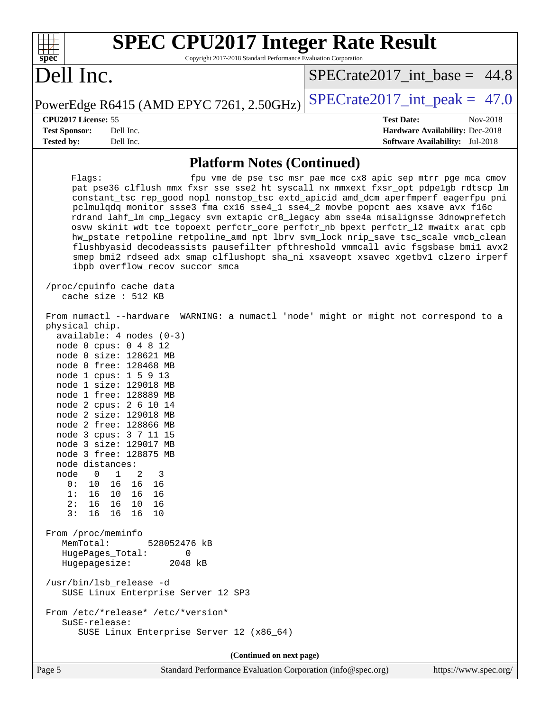| <b>SPEC CPU2017 Integer Rate Result</b><br>Copyright 2017-2018 Standard Performance Evaluation Corporation<br>spec <sup>®</sup>                                                                                                                                                                                                                                                                                                                                                                                                                                                                                                                                                                                                                                                                                                                                                                     |                                                               |
|-----------------------------------------------------------------------------------------------------------------------------------------------------------------------------------------------------------------------------------------------------------------------------------------------------------------------------------------------------------------------------------------------------------------------------------------------------------------------------------------------------------------------------------------------------------------------------------------------------------------------------------------------------------------------------------------------------------------------------------------------------------------------------------------------------------------------------------------------------------------------------------------------------|---------------------------------------------------------------|
| Dell Inc.                                                                                                                                                                                                                                                                                                                                                                                                                                                                                                                                                                                                                                                                                                                                                                                                                                                                                           | $SPECrate2017\_int\_base = 44.8$                              |
| PowerEdge R6415 (AMD EPYC 7261, 2.50GHz)                                                                                                                                                                                                                                                                                                                                                                                                                                                                                                                                                                                                                                                                                                                                                                                                                                                            | $SPECrate2017\_int\_peak = 47.0$                              |
| CPU2017 License: 55                                                                                                                                                                                                                                                                                                                                                                                                                                                                                                                                                                                                                                                                                                                                                                                                                                                                                 | <b>Test Date:</b><br>Nov-2018                                 |
| <b>Test Sponsor:</b><br>Dell Inc.                                                                                                                                                                                                                                                                                                                                                                                                                                                                                                                                                                                                                                                                                                                                                                                                                                                                   | Hardware Availability: Dec-2018                               |
| <b>Tested by:</b><br>Dell Inc.                                                                                                                                                                                                                                                                                                                                                                                                                                                                                                                                                                                                                                                                                                                                                                                                                                                                      | <b>Software Availability:</b> Jul-2018                        |
| <b>Platform Notes (Continued)</b>                                                                                                                                                                                                                                                                                                                                                                                                                                                                                                                                                                                                                                                                                                                                                                                                                                                                   |                                                               |
| Flags:<br>pat pse36 clflush mmx fxsr sse sse2 ht syscall nx mmxext fxsr_opt pdpe1gb rdtscp lm<br>constant_tsc rep_good nopl nonstop_tsc extd_apicid amd_dcm aperfmperf eagerfpu pni<br>pclmulqdq monitor ssse3 fma cx16 sse4_1 sse4_2 movbe popcnt aes xsave avx f16c<br>rdrand lahf_lm cmp_legacy svm extapic cr8_legacy abm sse4a misalignsse 3dnowprefetch<br>osvw skinit wdt tce topoext perfctr_core perfctr_nb bpext perfctr_12 mwaitx arat cpb<br>hw_pstate retpoline retpoline_amd npt lbrv svm_lock nrip_save tsc_scale vmcb_clean<br>flushbyasid decodeassists pausefilter pfthreshold vmmcall avic fsgsbase bmil avx2<br>smep bmi2 rdseed adx smap clflushopt sha_ni xsaveopt xsavec xgetbvl clzero irperf<br>ibpb overflow_recov succor smca<br>/proc/cpuinfo cache data<br>cache size : 512 KB<br>From numactl --hardware WARNING: a numactl 'node' might or might not correspond to a | fpu vme de pse tsc msr pae mce cx8 apic sep mtrr pge mca cmov |
| physical chip.<br>$available: 4 nodes (0-3)$<br>node 0 cpus: 0 4 8 12<br>node 0 size: 128621 MB<br>node 0 free: 128468 MB<br>node 1 cpus: 1 5 9 13<br>node 1 size: 129018 MB<br>node 1 free: 128889 MB<br>node 2 cpus: 2 6 10 14<br>node 2 size: 129018 MB<br>node 2 free: 128866 MB<br>node 3 cpus: 3 7 11 15<br>node 3 size: 129017 MB<br>node 3 free: 128875 MB<br>node distances:<br>$\mathbf{1}$<br>node<br>$\overline{0}$<br>2<br>3<br>0 :<br>10<br>16<br>16<br>16<br>1:<br>16<br>10 16<br>- 16<br>2:<br>16 10 16<br>16<br>3:<br>16<br>16 16<br>10                                                                                                                                                                                                                                                                                                                                            |                                                               |
| From /proc/meminfo<br>MemTotal:<br>528052476 kB<br>HugePages_Total:<br>0<br>Hugepagesize:<br>2048 kB<br>/usr/bin/lsb_release -d<br>SUSE Linux Enterprise Server 12 SP3<br>From /etc/*release* /etc/*version*<br>SuSE-release:<br>SUSE Linux Enterprise Server 12 (x86_64)                                                                                                                                                                                                                                                                                                                                                                                                                                                                                                                                                                                                                           |                                                               |
| (Continued on next page)                                                                                                                                                                                                                                                                                                                                                                                                                                                                                                                                                                                                                                                                                                                                                                                                                                                                            |                                                               |

Page 5 Standard Performance Evaluation Corporation [\(info@spec.org\)](mailto:info@spec.org) <https://www.spec.org/>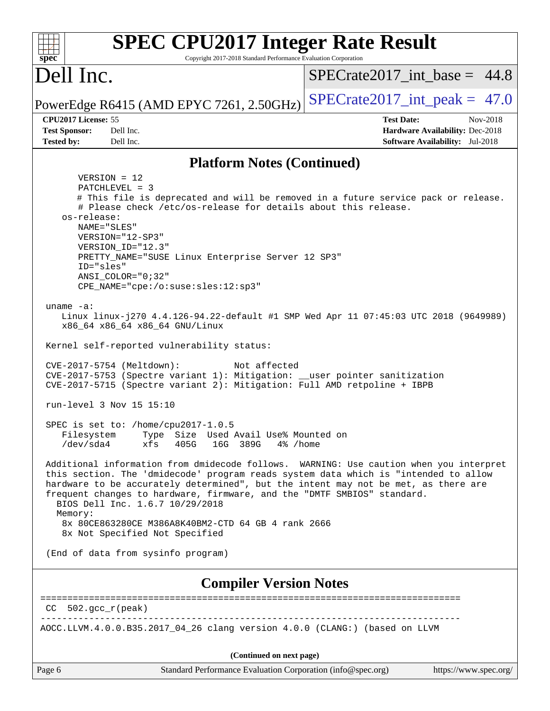| <b>SPEC CPU2017 Integer Rate Result</b><br>spec <sup>®</sup><br>Copyright 2017-2018 Standard Performance Evaluation Corporation                                                                                                                                                                                                                                                                                                                                                      |                                        |
|--------------------------------------------------------------------------------------------------------------------------------------------------------------------------------------------------------------------------------------------------------------------------------------------------------------------------------------------------------------------------------------------------------------------------------------------------------------------------------------|----------------------------------------|
| Dell Inc.                                                                                                                                                                                                                                                                                                                                                                                                                                                                            | $SPECrate2017$ int base = 44.8         |
| PowerEdge R6415 (AMD EPYC 7261, 2.50GHz)                                                                                                                                                                                                                                                                                                                                                                                                                                             | $SPECrate2017\_int\_peak = 47.0$       |
| CPU2017 License: 55                                                                                                                                                                                                                                                                                                                                                                                                                                                                  | <b>Test Date:</b><br>Nov-2018          |
| <b>Test Sponsor:</b><br>Dell Inc.                                                                                                                                                                                                                                                                                                                                                                                                                                                    | Hardware Availability: Dec-2018        |
| <b>Tested by:</b><br>Dell Inc.                                                                                                                                                                                                                                                                                                                                                                                                                                                       | <b>Software Availability:</b> Jul-2018 |
| <b>Platform Notes (Continued)</b>                                                                                                                                                                                                                                                                                                                                                                                                                                                    |                                        |
| $VERSION = 12$                                                                                                                                                                                                                                                                                                                                                                                                                                                                       |                                        |
| PATCHLEVEL = 3                                                                                                                                                                                                                                                                                                                                                                                                                                                                       |                                        |
| # This file is deprecated and will be removed in a future service pack or release.                                                                                                                                                                                                                                                                                                                                                                                                   |                                        |
| # Please check /etc/os-release for details about this release.<br>os-release:                                                                                                                                                                                                                                                                                                                                                                                                        |                                        |
| NAME="SLES"                                                                                                                                                                                                                                                                                                                                                                                                                                                                          |                                        |
| VERSION="12-SP3"                                                                                                                                                                                                                                                                                                                                                                                                                                                                     |                                        |
| VERSION_ID="12.3"                                                                                                                                                                                                                                                                                                                                                                                                                                                                    |                                        |
| PRETTY_NAME="SUSE Linux Enterprise Server 12 SP3"                                                                                                                                                                                                                                                                                                                                                                                                                                    |                                        |
| ID="sles"<br>ANSI COLOR="0;32"                                                                                                                                                                                                                                                                                                                                                                                                                                                       |                                        |
| CPE_NAME="cpe:/o:suse:sles:12:sp3"                                                                                                                                                                                                                                                                                                                                                                                                                                                   |                                        |
|                                                                                                                                                                                                                                                                                                                                                                                                                                                                                      |                                        |
| uname $-a$ :                                                                                                                                                                                                                                                                                                                                                                                                                                                                         |                                        |
| Linux linux-j270 4.4.126-94.22-default #1 SMP Wed Apr 11 07:45:03 UTC 2018 (9649989)<br>x86_64 x86_64 x86_64 GNU/Linux                                                                                                                                                                                                                                                                                                                                                               |                                        |
| Kernel self-reported vulnerability status:                                                                                                                                                                                                                                                                                                                                                                                                                                           |                                        |
| CVE-2017-5754 (Meltdown):<br>Not affected<br>CVE-2017-5753 (Spectre variant 1): Mitigation: __user pointer sanitization<br>CVE-2017-5715 (Spectre variant 2): Mitigation: Full AMD retpoline + IBPB                                                                                                                                                                                                                                                                                  |                                        |
| run-level 3 Nov 15 15:10                                                                                                                                                                                                                                                                                                                                                                                                                                                             |                                        |
| SPEC is set to: /home/cpu2017-1.0.5                                                                                                                                                                                                                                                                                                                                                                                                                                                  |                                        |
| Type Size Used Avail Use% Mounted on<br>Filesystem<br>$/\text{dev/sda4}$<br>xfs<br>405G<br>16G 389G<br>4% /home                                                                                                                                                                                                                                                                                                                                                                      |                                        |
| Additional information from dmidecode follows. WARNING: Use caution when you interpret<br>this section. The 'dmidecode' program reads system data which is "intended to allow<br>hardware to be accurately determined", but the intent may not be met, as there are<br>frequent changes to hardware, firmware, and the "DMTF SMBIOS" standard.<br>BIOS Dell Inc. 1.6.7 10/29/2018<br>Memory:<br>8x 80CE863280CE M386A8K40BM2-CTD 64 GB 4 rank 2666<br>8x Not Specified Not Specified |                                        |
|                                                                                                                                                                                                                                                                                                                                                                                                                                                                                      |                                        |
| (End of data from sysinfo program)                                                                                                                                                                                                                                                                                                                                                                                                                                                   |                                        |
| <b>Compiler Version Notes</b>                                                                                                                                                                                                                                                                                                                                                                                                                                                        |                                        |
| $CC$ 502. $qcc$ $r$ (peak)                                                                                                                                                                                                                                                                                                                                                                                                                                                           |                                        |
| AOCC.LLVM.4.0.0.B35.2017_04_26 clang version 4.0.0 (CLANG:) (based on LLVM                                                                                                                                                                                                                                                                                                                                                                                                           |                                        |
| (Continued on next page)                                                                                                                                                                                                                                                                                                                                                                                                                                                             |                                        |
| Page 6<br>Standard Performance Evaluation Corporation (info@spec.org)                                                                                                                                                                                                                                                                                                                                                                                                                | https://www.spec.org/                  |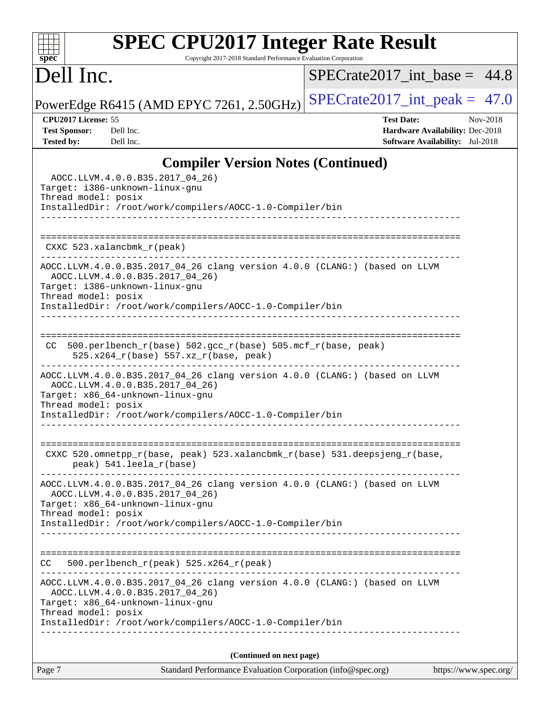# **[SPEC CPU2017 Integer Rate Result](http://www.spec.org/auto/cpu2017/Docs/result-fields.html#SPECCPU2017IntegerRateResult)**

Copyright 2017-2018 Standard Performance Evaluation Corporation

# Dell Inc.

**[spec](http://www.spec.org/)**

 $+\ +$ 

 $SPECrate2017\_int\_base = 44.8$ 

PowerEdge R6415 (AMD EPYC 7261, 2.50GHz) [SPECrate2017\\_int\\_peak =](http://www.spec.org/auto/cpu2017/Docs/result-fields.html#SPECrate2017intpeak)  $47.0$ 

**[CPU2017 License:](http://www.spec.org/auto/cpu2017/Docs/result-fields.html#CPU2017License)** 55 **[Test Date:](http://www.spec.org/auto/cpu2017/Docs/result-fields.html#TestDate)** Nov-2018 **[Test Sponsor:](http://www.spec.org/auto/cpu2017/Docs/result-fields.html#TestSponsor)** Dell Inc. **[Hardware Availability:](http://www.spec.org/auto/cpu2017/Docs/result-fields.html#HardwareAvailability)** Dec-2018 **[Tested by:](http://www.spec.org/auto/cpu2017/Docs/result-fields.html#Testedby)** Dell Inc. **[Software Availability:](http://www.spec.org/auto/cpu2017/Docs/result-fields.html#SoftwareAvailability)** Jul-2018

### **[Compiler Version Notes \(Continued\)](http://www.spec.org/auto/cpu2017/Docs/result-fields.html#CompilerVersionNotes)**

| Page 7              | Standard Performance Evaluation Corporation (info@spec.org)                                                                                                                                                   | https://www.spec.org/ |
|---------------------|---------------------------------------------------------------------------------------------------------------------------------------------------------------------------------------------------------------|-----------------------|
|                     | (Continued on next page)                                                                                                                                                                                      |                       |
| Thread model: posix | AOCC.LLVM.4.0.0.B35.2017_04_26)<br>Target: x86_64-unknown-linux-gnu<br>InstalledDir: /root/work/compilers/AOCC-1.0-Compiler/bin                                                                               |                       |
| CC                  | $500. perlbench_r (peak) 525.x264_r (peak)$<br>AOCC.LLVM.4.0.0.B35.2017_04_26 clang version 4.0.0 (CLANG:) (based on LLVM                                                                                     |                       |
|                     | InstalledDir: /root/work/compilers/AOCC-1.0-Compiler/bin                                                                                                                                                      |                       |
| Thread model: posix | AOCC.LLVM.4.0.0.B35.2017_04_26 clang version 4.0.0 (CLANG:) (based on LLVM<br>AOCC.LLVM.4.0.0.B35.2017_04_26)<br>Target: x86_64-unknown-linux-gnu                                                             |                       |
|                     | CXXC 520.omnetpp_r(base, peak) 523.xalancbmk_r(base) 531.deepsjeng_r(base,<br>peak) 541.leela_r(base)                                                                                                         |                       |
| Thread model: posix | AOCC.LLVM.4.0.0.B35.2017_04_26 clang version 4.0.0 (CLANG:) (based on LLVM<br>AOCC.LLVM.4.0.0.B35.2017_04_26)<br>Target: x86_64-unknown-linux-gnu<br>InstalledDir: /root/work/compilers/AOCC-1.0-Compiler/bin |                       |
| CC.                 | $500. perlbench_r(base) 502. gcc_r(base) 505. mcf_r(base, peak)$<br>525.x264_r(base) 557.xz_r(base, peak)<br>----------------------------                                                                     |                       |
| Thread model: posix | AOCC.LLVM.4.0.0.B35.2017_04_26 clang version 4.0.0 (CLANG:) (based on LLVM<br>AOCC.LLVM.4.0.0.B35.2017_04_26)<br>Target: i386-unknown-linux-gnu<br>InstalledDir: /root/work/compilers/AOCC-1.0-Compiler/bin   |                       |
|                     | CXXC $523.$ xalancbmk $r$ (peak)                                                                                                                                                                              |                       |
|                     | InstalledDir: /root/work/compilers/AOCC-1.0-Compiler/bin                                                                                                                                                      |                       |
| Thread model: posix | AOCC.LLVM.4.0.0.B35.2017_04_26)<br>Target: i386-unknown-linux-gnu                                                                                                                                             |                       |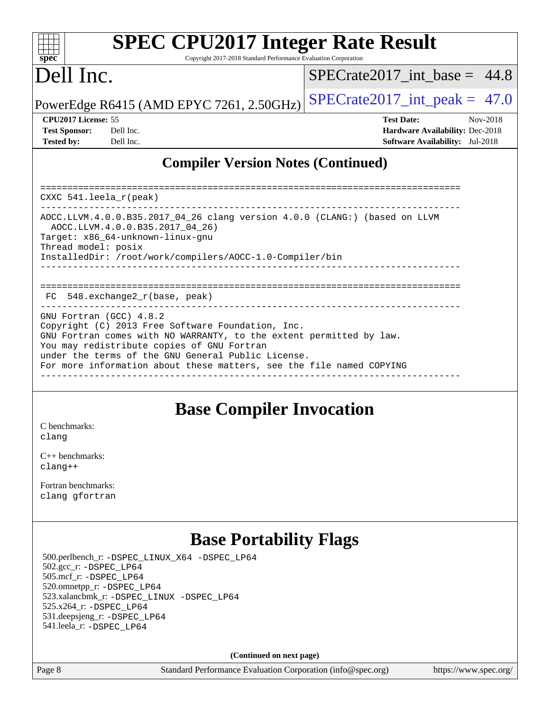| sn<br>æ<br>C |  |  |  |  |  |
|--------------|--|--|--|--|--|

# **[SPEC CPU2017 Integer Rate Result](http://www.spec.org/auto/cpu2017/Docs/result-fields.html#SPECCPU2017IntegerRateResult)**

Copyright 2017-2018 Standard Performance Evaluation Corporation

# Dell Inc.

 $SPECrate2017\_int\_base = 44.8$ 

PowerEdge R6415 (AMD EPYC 7261, 2.50GHz) SPECrate  $2017$ \_int\_peak = 47.0

| <b>Test Sponsor:</b> | Dell Inc |
|----------------------|----------|
| <b>Tested by:</b>    | Dell Inc |

**[CPU2017 License:](http://www.spec.org/auto/cpu2017/Docs/result-fields.html#CPU2017License)** 55 **[Test Date:](http://www.spec.org/auto/cpu2017/Docs/result-fields.html#TestDate)** Nov-2018 **[Hardware Availability:](http://www.spec.org/auto/cpu2017/Docs/result-fields.html#HardwareAvailability)** Dec-2018 **[Software Availability:](http://www.spec.org/auto/cpu2017/Docs/result-fields.html#SoftwareAvailability)** Jul-2018

### **[Compiler Version Notes \(Continued\)](http://www.spec.org/auto/cpu2017/Docs/result-fields.html#CompilerVersionNotes)**

============================================================================== CXXC 541.leela\_r(peak) ------------------------------------------------------------------------------ AOCC.LLVM.4.0.0.B35.2017\_04\_26 clang version 4.0.0 (CLANG:) (based on LLVM AOCC.LLVM.4.0.0.B35.2017\_04\_26) Target: x86\_64-unknown-linux-gnu Thread model: posix InstalledDir: /root/work/compilers/AOCC-1.0-Compiler/bin ------------------------------------------------------------------------------ ============================================================================== FC 548.exchange2\_r(base, peak) ------------------------------------------------------------------------------ GNU Fortran (GCC) 4.8.2 Copyright (C) 2013 Free Software Foundation, Inc. GNU Fortran comes with NO WARRANTY, to the extent permitted by law. You may redistribute copies of GNU Fortran under the terms of the GNU General Public License. For more information about these matters, see the file named COPYING ------------------------------------------------------------------------------

### **[Base Compiler Invocation](http://www.spec.org/auto/cpu2017/Docs/result-fields.html#BaseCompilerInvocation)**

[C benchmarks](http://www.spec.org/auto/cpu2017/Docs/result-fields.html#Cbenchmarks): [clang](http://www.spec.org/cpu2017/results/res2018q4/cpu2017-20181126-09826.flags.html#user_CCbase_Fclang3_a68b77bfed473bd9cdd22529af008e8306c2e3948617c8991604c1a2000ee4a73ef90dd8bc793e105fe4165a625d26dacbda4708d828ad19048918c071b363ec)

[C++ benchmarks:](http://www.spec.org/auto/cpu2017/Docs/result-fields.html#CXXbenchmarks) [clang++](http://www.spec.org/cpu2017/results/res2018q4/cpu2017-20181126-09826.flags.html#user_CXXbase_Fclang3_57a48582e5be507d19b2527b3e7d4f85d9b8669ffc9a8a0dbb9bcf949a918a58bbab411e0c4d14a3922022a3e425a90db94042683824c1806feff4324ca1000d)

[Fortran benchmarks](http://www.spec.org/auto/cpu2017/Docs/result-fields.html#Fortranbenchmarks): [clang](http://www.spec.org/cpu2017/results/res2018q4/cpu2017-20181126-09826.flags.html#user_FCbase_Fclang3_a68b77bfed473bd9cdd22529af008e8306c2e3948617c8991604c1a2000ee4a73ef90dd8bc793e105fe4165a625d26dacbda4708d828ad19048918c071b363ec) [gfortran](http://www.spec.org/cpu2017/results/res2018q4/cpu2017-20181126-09826.flags.html#user_FCbase_aocc-gfortran_128c91a56d61ddb07404721e65b8f9498c31a443dacbd3b7f212891090eca86e2d099b520f75b99e9e8ac4fdec01f4d15f0b65e47123ec4c42b0759045731a1f)

# **[Base Portability Flags](http://www.spec.org/auto/cpu2017/Docs/result-fields.html#BasePortabilityFlags)**

 500.perlbench\_r: [-DSPEC\\_LINUX\\_X64](http://www.spec.org/cpu2017/results/res2018q4/cpu2017-20181126-09826.flags.html#b500.perlbench_r_basePORTABILITY_DSPEC_LINUX_X64) [-DSPEC\\_LP64](http://www.spec.org/cpu2017/results/res2018q4/cpu2017-20181126-09826.flags.html#b500.perlbench_r_baseEXTRA_PORTABILITY_DSPEC_LP64) 502.gcc\_r: [-DSPEC\\_LP64](http://www.spec.org/cpu2017/results/res2018q4/cpu2017-20181126-09826.flags.html#suite_baseEXTRA_PORTABILITY502_gcc_r_DSPEC_LP64) 505.mcf\_r: [-DSPEC\\_LP64](http://www.spec.org/cpu2017/results/res2018q4/cpu2017-20181126-09826.flags.html#suite_baseEXTRA_PORTABILITY505_mcf_r_DSPEC_LP64) 520.omnetpp\_r: [-DSPEC\\_LP64](http://www.spec.org/cpu2017/results/res2018q4/cpu2017-20181126-09826.flags.html#suite_baseEXTRA_PORTABILITY520_omnetpp_r_DSPEC_LP64) 523.xalancbmk\_r: [-DSPEC\\_LINUX](http://www.spec.org/cpu2017/results/res2018q4/cpu2017-20181126-09826.flags.html#b523.xalancbmk_r_basePORTABILITY_DSPEC_LINUX) [-DSPEC\\_LP64](http://www.spec.org/cpu2017/results/res2018q4/cpu2017-20181126-09826.flags.html#suite_baseEXTRA_PORTABILITY523_xalancbmk_r_DSPEC_LP64) 525.x264\_r: [-DSPEC\\_LP64](http://www.spec.org/cpu2017/results/res2018q4/cpu2017-20181126-09826.flags.html#suite_baseEXTRA_PORTABILITY525_x264_r_DSPEC_LP64) 531.deepsjeng\_r: [-DSPEC\\_LP64](http://www.spec.org/cpu2017/results/res2018q4/cpu2017-20181126-09826.flags.html#suite_baseEXTRA_PORTABILITY531_deepsjeng_r_DSPEC_LP64) 541.leela\_r: [-DSPEC\\_LP64](http://www.spec.org/cpu2017/results/res2018q4/cpu2017-20181126-09826.flags.html#suite_baseEXTRA_PORTABILITY541_leela_r_DSPEC_LP64)

**(Continued on next page)**

Page 8 Standard Performance Evaluation Corporation [\(info@spec.org\)](mailto:info@spec.org) <https://www.spec.org/>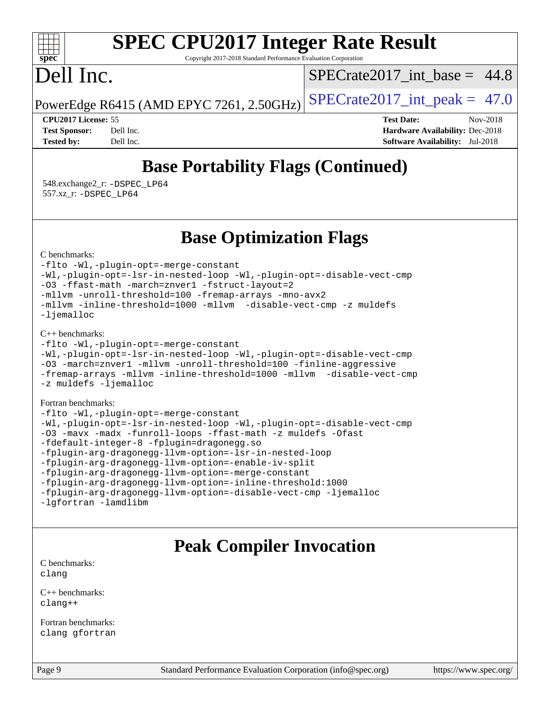#### $\pm\pm\tau$ **[spec](http://www.spec.org/)**

# **[SPEC CPU2017 Integer Rate Result](http://www.spec.org/auto/cpu2017/Docs/result-fields.html#SPECCPU2017IntegerRateResult)**

Copyright 2017-2018 Standard Performance Evaluation Corporation

# Dell Inc.

SPECrate2017 int\_base =  $44.8$ 

PowerEdge R6415 (AMD EPYC 7261, 2.50GHz) SPECrate  $2017$  int peak = 47.0

**[CPU2017 License:](http://www.spec.org/auto/cpu2017/Docs/result-fields.html#CPU2017License)** 55 **[Test Date:](http://www.spec.org/auto/cpu2017/Docs/result-fields.html#TestDate)** Nov-2018 **[Test Sponsor:](http://www.spec.org/auto/cpu2017/Docs/result-fields.html#TestSponsor)** Dell Inc. **[Hardware Availability:](http://www.spec.org/auto/cpu2017/Docs/result-fields.html#HardwareAvailability)** Dec-2018 **[Tested by:](http://www.spec.org/auto/cpu2017/Docs/result-fields.html#Testedby)** Dell Inc. **[Software Availability:](http://www.spec.org/auto/cpu2017/Docs/result-fields.html#SoftwareAvailability)** Jul-2018

# **[Base Portability Flags \(Continued\)](http://www.spec.org/auto/cpu2017/Docs/result-fields.html#BasePortabilityFlags)**

 548.exchange2\_r: [-DSPEC\\_LP64](http://www.spec.org/cpu2017/results/res2018q4/cpu2017-20181126-09826.flags.html#suite_baseEXTRA_PORTABILITY548_exchange2_r_DSPEC_LP64) 557.xz\_r: [-DSPEC\\_LP64](http://www.spec.org/cpu2017/results/res2018q4/cpu2017-20181126-09826.flags.html#suite_baseEXTRA_PORTABILITY557_xz_r_DSPEC_LP64)

### **[Base Optimization Flags](http://www.spec.org/auto/cpu2017/Docs/result-fields.html#BaseOptimizationFlags)**

[C benchmarks](http://www.spec.org/auto/cpu2017/Docs/result-fields.html#Cbenchmarks):

[-flto](http://www.spec.org/cpu2017/results/res2018q4/cpu2017-20181126-09826.flags.html#user_CCbase_lto) [-Wl,-plugin-opt=-merge-constant](http://www.spec.org/cpu2017/results/res2018q4/cpu2017-20181126-09826.flags.html#user_CCbase_F-merge-constant_1d79771b5442061d9c8e05556c6b0c655e6c9e66f8c6936b0129d434b6acd2b1cf1b7cd2540d1570ff636111b08a6bc36e2e61fc34531f8ef7c1a34c57be1dbb) [-Wl,-plugin-opt=-lsr-in-nested-loop](http://www.spec.org/cpu2017/results/res2018q4/cpu2017-20181126-09826.flags.html#user_CCbase_lsr-in-nested-loop_1cff93fd95162f5e77640b5271e8bed680fb62b4a8d96fb8ab217ff3244646f1fbb342e31af83c263403bbf5249c7dc7732d5c86c3eab4cc8d32dcb7a6f33ca0) [-Wl,-plugin-opt=-disable-vect-cmp](http://www.spec.org/cpu2017/results/res2018q4/cpu2017-20181126-09826.flags.html#user_CCbase_disable-vect-cmp_1056b9a09b8ddc126e023b5f99ae33179ef568835465af9b7adeacf4b6480ff575c8aee439265bcfbcbf086f33f2fa5cca2bc4cf52b64c0cd2e10f6503cba02d) [-O3](http://www.spec.org/cpu2017/results/res2018q4/cpu2017-20181126-09826.flags.html#user_CCbase_F-O3) [-ffast-math](http://www.spec.org/cpu2017/results/res2018q4/cpu2017-20181126-09826.flags.html#user_CCbase_F-aocc-ffast-math_78dd175de6534c2005829757b9b0f2878e57b067cce6f7c443b2250ac68890960e2e1b320ca04b81ff7c62c6f87870ed05f06baf7875eea2990d38e3b73c71f1) [-march=znver1](http://www.spec.org/cpu2017/results/res2018q4/cpu2017-20181126-09826.flags.html#user_CCbase_F-march) [-fstruct-layout=2](http://www.spec.org/cpu2017/results/res2018q4/cpu2017-20181126-09826.flags.html#user_CCbase_F-fstruct-layout_a05ec02e17cdf7fe0c3950a6b005251b2b1e5e67af2b5298cf72714730c3d59ba290e75546b10aa22dac074c15ceaca36ae22c62cb51bcb2fbdc9dc4e7e222c4) [-mllvm -unroll-threshold=100](http://www.spec.org/cpu2017/results/res2018q4/cpu2017-20181126-09826.flags.html#user_CCbase_F-unroll-threshold_2755d0c78138845d361fa1543e3a063fffa198df9b3edf0cfb856bbc88a81e1769b12ac7a550c5d35197be55360db1a3f95a8d1304df999456cabf5120c45168) [-fremap-arrays](http://www.spec.org/cpu2017/results/res2018q4/cpu2017-20181126-09826.flags.html#user_CCbase_F-fremap-arrays) [-mno-avx2](http://www.spec.org/cpu2017/results/res2018q4/cpu2017-20181126-09826.flags.html#user_CCbase_F-mno-avx2) [-mllvm -inline-threshold=1000](http://www.spec.org/cpu2017/results/res2018q4/cpu2017-20181126-09826.flags.html#user_CCbase_inline-threshold_b7832241b0a6397e4ecdbaf0eb7defdc10f885c2a282fa3240fdc99844d543fda39cf8a4a9dccf68cf19b5438ac3b455264f478df15da0f4988afa40d8243bab) [-mllvm -disable-vect-cmp](http://www.spec.org/cpu2017/results/res2018q4/cpu2017-20181126-09826.flags.html#user_CCbase_disable-vect-cmp_d995c9eb800469498c6893dc847c54c903d59847b18cb2ac22011b9af7010c96d2d48d3c6b41246fe86945001509aa4dc528afb61cb238fd3b256a31781ea0cf) [-z muldefs](http://www.spec.org/cpu2017/results/res2018q4/cpu2017-20181126-09826.flags.html#user_CCbase_F-z-muldefs) [-ljemalloc](http://www.spec.org/cpu2017/results/res2018q4/cpu2017-20181126-09826.flags.html#user_CCbase_jemalloc-lib_d1249b907c500fa1c0672f44f562e3d0f79738ae9e3c4a9c376d49f265a04b9c99b167ecedbf6711b3085be911c67ff61f150a17b3472be731631ba4d0471706)

[C++ benchmarks:](http://www.spec.org/auto/cpu2017/Docs/result-fields.html#CXXbenchmarks)

```
-flto -Wl,-plugin-opt=-merge-constant
-Wl,-plugin-opt=-lsr-in-nested-loop -Wl,-plugin-opt=-disable-vect-cmp
-O3 -march=znver1 -mllvm -unroll-threshold=100 -finline-aggressive
-fremap-arrays -mllvm -inline-threshold=1000 -mllvm -disable-vect-cmp
-z muldefs -ljemalloc
```
[Fortran benchmarks](http://www.spec.org/auto/cpu2017/Docs/result-fields.html#Fortranbenchmarks):

```
-flto -Wl,-plugin-opt=-merge-constant
-Wl,-plugin-opt=-lsr-in-nested-loop -Wl,-plugin-opt=-disable-vect-cmp
-O3 -mavx -madx -funroll-loops -ffast-math -z muldefs -Ofast
-fdefault-integer-8 -fplugin=dragonegg.so
-fplugin-arg-dragonegg-llvm-option=-lsr-in-nested-loop
-fplugin-arg-dragonegg-llvm-option=-enable-iv-split
-fplugin-arg-dragonegg-llvm-option=-merge-constant
-fplugin-arg-dragonegg-llvm-option=-inline-threshold:1000
-fplugin-arg-dragonegg-llvm-option=-disable-vect-cmp -ljemalloc
-lgfortran -lamdlibm
```
## **[Peak Compiler Invocation](http://www.spec.org/auto/cpu2017/Docs/result-fields.html#PeakCompilerInvocation)**

[C benchmarks](http://www.spec.org/auto/cpu2017/Docs/result-fields.html#Cbenchmarks): [clang](http://www.spec.org/cpu2017/results/res2018q4/cpu2017-20181126-09826.flags.html#user_CCpeak_Fclang3_a68b77bfed473bd9cdd22529af008e8306c2e3948617c8991604c1a2000ee4a73ef90dd8bc793e105fe4165a625d26dacbda4708d828ad19048918c071b363ec)

[C++ benchmarks:](http://www.spec.org/auto/cpu2017/Docs/result-fields.html#CXXbenchmarks) [clang++](http://www.spec.org/cpu2017/results/res2018q4/cpu2017-20181126-09826.flags.html#user_CXXpeak_Fclang3_57a48582e5be507d19b2527b3e7d4f85d9b8669ffc9a8a0dbb9bcf949a918a58bbab411e0c4d14a3922022a3e425a90db94042683824c1806feff4324ca1000d)

[Fortran benchmarks](http://www.spec.org/auto/cpu2017/Docs/result-fields.html#Fortranbenchmarks): [clang](http://www.spec.org/cpu2017/results/res2018q4/cpu2017-20181126-09826.flags.html#user_FCpeak_Fclang3_a68b77bfed473bd9cdd22529af008e8306c2e3948617c8991604c1a2000ee4a73ef90dd8bc793e105fe4165a625d26dacbda4708d828ad19048918c071b363ec) [gfortran](http://www.spec.org/cpu2017/results/res2018q4/cpu2017-20181126-09826.flags.html#user_FCpeak_aocc-gfortran_128c91a56d61ddb07404721e65b8f9498c31a443dacbd3b7f212891090eca86e2d099b520f75b99e9e8ac4fdec01f4d15f0b65e47123ec4c42b0759045731a1f)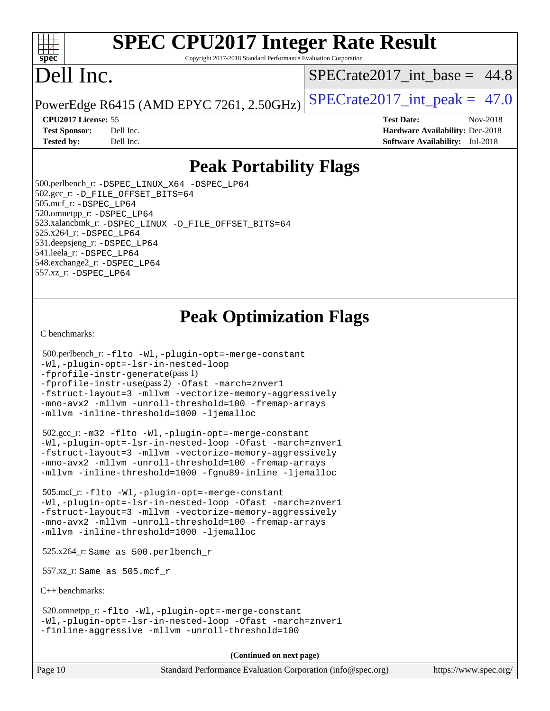#### $+\ +$ **[spec](http://www.spec.org/)**

# **[SPEC CPU2017 Integer Rate Result](http://www.spec.org/auto/cpu2017/Docs/result-fields.html#SPECCPU2017IntegerRateResult)**

Copyright 2017-2018 Standard Performance Evaluation Corporation

# Dell Inc.

SPECrate2017 int\_base =  $44.8$ 

PowerEdge R6415 (AMD EPYC 7261, 2.50GHz) SPECrate  $2017$  int peak = 47.0

**[Tested by:](http://www.spec.org/auto/cpu2017/Docs/result-fields.html#Testedby)** Dell Inc. **[Software Availability:](http://www.spec.org/auto/cpu2017/Docs/result-fields.html#SoftwareAvailability)** Jul-2018

**[CPU2017 License:](http://www.spec.org/auto/cpu2017/Docs/result-fields.html#CPU2017License)** 55 **[Test Date:](http://www.spec.org/auto/cpu2017/Docs/result-fields.html#TestDate)** Nov-2018 **[Test Sponsor:](http://www.spec.org/auto/cpu2017/Docs/result-fields.html#TestSponsor)** Dell Inc. **[Hardware Availability:](http://www.spec.org/auto/cpu2017/Docs/result-fields.html#HardwareAvailability)** Dec-2018

## **[Peak Portability Flags](http://www.spec.org/auto/cpu2017/Docs/result-fields.html#PeakPortabilityFlags)**

 500.perlbench\_r: [-DSPEC\\_LINUX\\_X64](http://www.spec.org/cpu2017/results/res2018q4/cpu2017-20181126-09826.flags.html#b500.perlbench_r_peakPORTABILITY_DSPEC_LINUX_X64) [-DSPEC\\_LP64](http://www.spec.org/cpu2017/results/res2018q4/cpu2017-20181126-09826.flags.html#b500.perlbench_r_peakEXTRA_PORTABILITY_DSPEC_LP64) 502.gcc\_r: [-D\\_FILE\\_OFFSET\\_BITS=64](http://www.spec.org/cpu2017/results/res2018q4/cpu2017-20181126-09826.flags.html#user_peakEXTRA_PORTABILITY502_gcc_r_F-D_FILE_OFFSET_BITS_5ae949a99b284ddf4e95728d47cb0843d81b2eb0e18bdfe74bbf0f61d0b064f4bda2f10ea5eb90e1dcab0e84dbc592acfc5018bc955c18609f94ddb8d550002c) 505.mcf\_r: [-DSPEC\\_LP64](http://www.spec.org/cpu2017/results/res2018q4/cpu2017-20181126-09826.flags.html#suite_peakEXTRA_PORTABILITY505_mcf_r_DSPEC_LP64) 520.omnetpp\_r: [-DSPEC\\_LP64](http://www.spec.org/cpu2017/results/res2018q4/cpu2017-20181126-09826.flags.html#suite_peakEXTRA_PORTABILITY520_omnetpp_r_DSPEC_LP64) 523.xalancbmk\_r: [-DSPEC\\_LINUX](http://www.spec.org/cpu2017/results/res2018q4/cpu2017-20181126-09826.flags.html#b523.xalancbmk_r_peakPORTABILITY_DSPEC_LINUX) [-D\\_FILE\\_OFFSET\\_BITS=64](http://www.spec.org/cpu2017/results/res2018q4/cpu2017-20181126-09826.flags.html#user_peakEXTRA_PORTABILITY523_xalancbmk_r_F-D_FILE_OFFSET_BITS_5ae949a99b284ddf4e95728d47cb0843d81b2eb0e18bdfe74bbf0f61d0b064f4bda2f10ea5eb90e1dcab0e84dbc592acfc5018bc955c18609f94ddb8d550002c) 525.x264\_r: [-DSPEC\\_LP64](http://www.spec.org/cpu2017/results/res2018q4/cpu2017-20181126-09826.flags.html#suite_peakEXTRA_PORTABILITY525_x264_r_DSPEC_LP64) 531.deepsjeng\_r: [-DSPEC\\_LP64](http://www.spec.org/cpu2017/results/res2018q4/cpu2017-20181126-09826.flags.html#suite_peakEXTRA_PORTABILITY531_deepsjeng_r_DSPEC_LP64) 541.leela\_r: [-DSPEC\\_LP64](http://www.spec.org/cpu2017/results/res2018q4/cpu2017-20181126-09826.flags.html#suite_peakEXTRA_PORTABILITY541_leela_r_DSPEC_LP64) 548.exchange2\_r: [-DSPEC\\_LP64](http://www.spec.org/cpu2017/results/res2018q4/cpu2017-20181126-09826.flags.html#suite_peakEXTRA_PORTABILITY548_exchange2_r_DSPEC_LP64) 557.xz\_r: [-DSPEC\\_LP64](http://www.spec.org/cpu2017/results/res2018q4/cpu2017-20181126-09826.flags.html#suite_peakEXTRA_PORTABILITY557_xz_r_DSPEC_LP64)

# **[Peak Optimization Flags](http://www.spec.org/auto/cpu2017/Docs/result-fields.html#PeakOptimizationFlags)**

[C benchmarks](http://www.spec.org/auto/cpu2017/Docs/result-fields.html#Cbenchmarks):

```
 500.perlbench_r: -flto -Wl,-plugin-opt=-merge-constant
-Wl,-plugin-opt=-lsr-in-nested-loop
-fprofile-instr-generate(pass 1)
-fprofile-instr-use(pass 2) -Ofast -march=znver1
-fstruct-layout=3 -mllvm -vectorize-memory-aggressively
-mno-avx2 -mllvm -unroll-threshold=100 -fremap-arrays
-mllvm -inline-threshold=1000 -ljemalloc
```
 502.gcc\_r: [-m32](http://www.spec.org/cpu2017/results/res2018q4/cpu2017-20181126-09826.flags.html#user_peakCCLD502_gcc_r_F-m32) [-flto](http://www.spec.org/cpu2017/results/res2018q4/cpu2017-20181126-09826.flags.html#user_peakCOPTIMIZEEXTRA_LDFLAGS502_gcc_r_lto) [-Wl,-plugin-opt=-merge-constant](http://www.spec.org/cpu2017/results/res2018q4/cpu2017-20181126-09826.flags.html#user_peakEXTRA_LDFLAGS502_gcc_r_F-merge-constant_1d79771b5442061d9c8e05556c6b0c655e6c9e66f8c6936b0129d434b6acd2b1cf1b7cd2540d1570ff636111b08a6bc36e2e61fc34531f8ef7c1a34c57be1dbb) [-Wl,-plugin-opt=-lsr-in-nested-loop](http://www.spec.org/cpu2017/results/res2018q4/cpu2017-20181126-09826.flags.html#user_peakEXTRA_LDFLAGS502_gcc_r_lsr-in-nested-loop_1cff93fd95162f5e77640b5271e8bed680fb62b4a8d96fb8ab217ff3244646f1fbb342e31af83c263403bbf5249c7dc7732d5c86c3eab4cc8d32dcb7a6f33ca0) [-Ofast](http://www.spec.org/cpu2017/results/res2018q4/cpu2017-20181126-09826.flags.html#user_peakCOPTIMIZE502_gcc_r_F-aocc-Ofast) [-march=znver1](http://www.spec.org/cpu2017/results/res2018q4/cpu2017-20181126-09826.flags.html#user_peakCOPTIMIZE502_gcc_r_F-march) [-fstruct-layout=3](http://www.spec.org/cpu2017/results/res2018q4/cpu2017-20181126-09826.flags.html#user_peakCOPTIMIZE502_gcc_r_F-fstruct-layout) [-mllvm -vectorize-memory-aggressively](http://www.spec.org/cpu2017/results/res2018q4/cpu2017-20181126-09826.flags.html#user_peakCOPTIMIZE502_gcc_r_vectorize-memory-aggressively_24b72a4417f50ade9e698c5b3bed87ab456cc6fc8ec6439480cb84f36ad6a3975af6e87206dea402e3871a1464ff3d60bc798e0250f330177ba629a260df1857) [-mno-avx2](http://www.spec.org/cpu2017/results/res2018q4/cpu2017-20181126-09826.flags.html#user_peakCOPTIMIZE502_gcc_r_F-mno-avx2) [-mllvm -unroll-threshold=100](http://www.spec.org/cpu2017/results/res2018q4/cpu2017-20181126-09826.flags.html#user_peakCOPTIMIZE502_gcc_r_F-unroll-threshold_2755d0c78138845d361fa1543e3a063fffa198df9b3edf0cfb856bbc88a81e1769b12ac7a550c5d35197be55360db1a3f95a8d1304df999456cabf5120c45168) [-fremap-arrays](http://www.spec.org/cpu2017/results/res2018q4/cpu2017-20181126-09826.flags.html#user_peakCOPTIMIZE502_gcc_r_F-fremap-arrays) [-mllvm -inline-threshold=1000](http://www.spec.org/cpu2017/results/res2018q4/cpu2017-20181126-09826.flags.html#user_peakCOPTIMIZE502_gcc_r_inline-threshold_b7832241b0a6397e4ecdbaf0eb7defdc10f885c2a282fa3240fdc99844d543fda39cf8a4a9dccf68cf19b5438ac3b455264f478df15da0f4988afa40d8243bab) [-fgnu89-inline](http://www.spec.org/cpu2017/results/res2018q4/cpu2017-20181126-09826.flags.html#user_peakEXTRA_COPTIMIZE502_gcc_r_F-fgnu89-inline) [-ljemalloc](http://www.spec.org/cpu2017/results/res2018q4/cpu2017-20181126-09826.flags.html#user_peakEXTRA_LIBS502_gcc_r_jemalloc-lib_d1249b907c500fa1c0672f44f562e3d0f79738ae9e3c4a9c376d49f265a04b9c99b167ecedbf6711b3085be911c67ff61f150a17b3472be731631ba4d0471706)

 505.mcf\_r: [-flto](http://www.spec.org/cpu2017/results/res2018q4/cpu2017-20181126-09826.flags.html#user_peakCOPTIMIZEEXTRA_LDFLAGS505_mcf_r_lto) [-Wl,-plugin-opt=-merge-constant](http://www.spec.org/cpu2017/results/res2018q4/cpu2017-20181126-09826.flags.html#user_peakEXTRA_LDFLAGS505_mcf_r_F-merge-constant_1d79771b5442061d9c8e05556c6b0c655e6c9e66f8c6936b0129d434b6acd2b1cf1b7cd2540d1570ff636111b08a6bc36e2e61fc34531f8ef7c1a34c57be1dbb) [-Wl,-plugin-opt=-lsr-in-nested-loop](http://www.spec.org/cpu2017/results/res2018q4/cpu2017-20181126-09826.flags.html#user_peakEXTRA_LDFLAGS505_mcf_r_lsr-in-nested-loop_1cff93fd95162f5e77640b5271e8bed680fb62b4a8d96fb8ab217ff3244646f1fbb342e31af83c263403bbf5249c7dc7732d5c86c3eab4cc8d32dcb7a6f33ca0) [-Ofast](http://www.spec.org/cpu2017/results/res2018q4/cpu2017-20181126-09826.flags.html#user_peakCOPTIMIZE505_mcf_r_F-aocc-Ofast) [-march=znver1](http://www.spec.org/cpu2017/results/res2018q4/cpu2017-20181126-09826.flags.html#user_peakCOPTIMIZE505_mcf_r_F-march) [-fstruct-layout=3](http://www.spec.org/cpu2017/results/res2018q4/cpu2017-20181126-09826.flags.html#user_peakCOPTIMIZE505_mcf_r_F-fstruct-layout) [-mllvm -vectorize-memory-aggressively](http://www.spec.org/cpu2017/results/res2018q4/cpu2017-20181126-09826.flags.html#user_peakCOPTIMIZE505_mcf_r_vectorize-memory-aggressively_24b72a4417f50ade9e698c5b3bed87ab456cc6fc8ec6439480cb84f36ad6a3975af6e87206dea402e3871a1464ff3d60bc798e0250f330177ba629a260df1857) [-mno-avx2](http://www.spec.org/cpu2017/results/res2018q4/cpu2017-20181126-09826.flags.html#user_peakCOPTIMIZE505_mcf_r_F-mno-avx2) [-mllvm -unroll-threshold=100](http://www.spec.org/cpu2017/results/res2018q4/cpu2017-20181126-09826.flags.html#user_peakCOPTIMIZE505_mcf_r_F-unroll-threshold_2755d0c78138845d361fa1543e3a063fffa198df9b3edf0cfb856bbc88a81e1769b12ac7a550c5d35197be55360db1a3f95a8d1304df999456cabf5120c45168) [-fremap-arrays](http://www.spec.org/cpu2017/results/res2018q4/cpu2017-20181126-09826.flags.html#user_peakCOPTIMIZE505_mcf_r_F-fremap-arrays) [-mllvm -inline-threshold=1000](http://www.spec.org/cpu2017/results/res2018q4/cpu2017-20181126-09826.flags.html#user_peakCOPTIMIZE505_mcf_r_inline-threshold_b7832241b0a6397e4ecdbaf0eb7defdc10f885c2a282fa3240fdc99844d543fda39cf8a4a9dccf68cf19b5438ac3b455264f478df15da0f4988afa40d8243bab) [-ljemalloc](http://www.spec.org/cpu2017/results/res2018q4/cpu2017-20181126-09826.flags.html#user_peakEXTRA_LIBS505_mcf_r_jemalloc-lib_d1249b907c500fa1c0672f44f562e3d0f79738ae9e3c4a9c376d49f265a04b9c99b167ecedbf6711b3085be911c67ff61f150a17b3472be731631ba4d0471706)

525.x264\_r: Same as 500.perlbench\_r

557.xz\_r: Same as 505.mcf\_r

[C++ benchmarks:](http://www.spec.org/auto/cpu2017/Docs/result-fields.html#CXXbenchmarks)

 520.omnetpp\_r: [-flto](http://www.spec.org/cpu2017/results/res2018q4/cpu2017-20181126-09826.flags.html#user_peakCXXOPTIMIZEEXTRA_LDFLAGS520_omnetpp_r_lto) [-Wl,-plugin-opt=-merge-constant](http://www.spec.org/cpu2017/results/res2018q4/cpu2017-20181126-09826.flags.html#user_peakEXTRA_LDFLAGS520_omnetpp_r_F-merge-constant_1d79771b5442061d9c8e05556c6b0c655e6c9e66f8c6936b0129d434b6acd2b1cf1b7cd2540d1570ff636111b08a6bc36e2e61fc34531f8ef7c1a34c57be1dbb) [-Wl,-plugin-opt=-lsr-in-nested-loop](http://www.spec.org/cpu2017/results/res2018q4/cpu2017-20181126-09826.flags.html#user_peakEXTRA_LDFLAGS520_omnetpp_r_lsr-in-nested-loop_1cff93fd95162f5e77640b5271e8bed680fb62b4a8d96fb8ab217ff3244646f1fbb342e31af83c263403bbf5249c7dc7732d5c86c3eab4cc8d32dcb7a6f33ca0) [-Ofast](http://www.spec.org/cpu2017/results/res2018q4/cpu2017-20181126-09826.flags.html#user_peakCXXOPTIMIZE520_omnetpp_r_F-aocc-Ofast) [-march=znver1](http://www.spec.org/cpu2017/results/res2018q4/cpu2017-20181126-09826.flags.html#user_peakCXXOPTIMIZE520_omnetpp_r_F-march) [-finline-aggressive](http://www.spec.org/cpu2017/results/res2018q4/cpu2017-20181126-09826.flags.html#user_peakCXXOPTIMIZE520_omnetpp_r_F-finline-aggressive) [-mllvm -unroll-threshold=100](http://www.spec.org/cpu2017/results/res2018q4/cpu2017-20181126-09826.flags.html#user_peakCXXOPTIMIZE520_omnetpp_r_F-unroll-threshold_2755d0c78138845d361fa1543e3a063fffa198df9b3edf0cfb856bbc88a81e1769b12ac7a550c5d35197be55360db1a3f95a8d1304df999456cabf5120c45168)

**(Continued on next page)**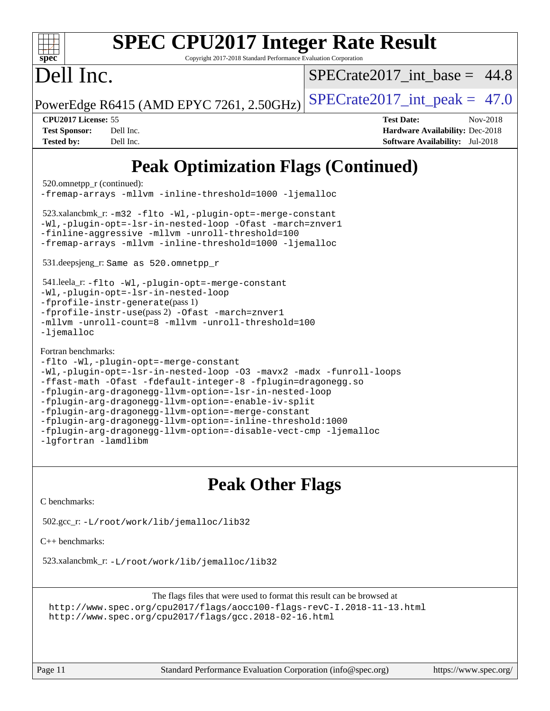| <b>SPEC CPU2017 Integer Rate Result</b><br>Copyright 2017-2018 Standard Performance Evaluation Corporation<br>spec <sup>®</sup>                                                                                                                                                                                                                                                                                                                                                                                                    |                                                                                                                   |  |  |  |  |
|------------------------------------------------------------------------------------------------------------------------------------------------------------------------------------------------------------------------------------------------------------------------------------------------------------------------------------------------------------------------------------------------------------------------------------------------------------------------------------------------------------------------------------|-------------------------------------------------------------------------------------------------------------------|--|--|--|--|
| Dell Inc.                                                                                                                                                                                                                                                                                                                                                                                                                                                                                                                          | $SPECTate2017$ int base = 44.8                                                                                    |  |  |  |  |
| PowerEdge R6415 (AMD EPYC 7261, 2.50GHz)                                                                                                                                                                                                                                                                                                                                                                                                                                                                                           | $SPECrate2017\_int\_peak = 47.0$                                                                                  |  |  |  |  |
| CPU2017 License: 55<br><b>Test Sponsor:</b><br>Dell Inc.<br><b>Tested by:</b><br>Dell Inc.                                                                                                                                                                                                                                                                                                                                                                                                                                         | <b>Test Date:</b><br>Nov-2018<br><b>Hardware Availability: Dec-2018</b><br><b>Software Availability:</b> Jul-2018 |  |  |  |  |
| <b>Peak Optimization Flags (Continued)</b>                                                                                                                                                                                                                                                                                                                                                                                                                                                                                         |                                                                                                                   |  |  |  |  |
| 520.omnetpp_r (continued):<br>-fremap-arrays -mllvm -inline-threshold=1000 -ljemalloc                                                                                                                                                                                                                                                                                                                                                                                                                                              |                                                                                                                   |  |  |  |  |
| 523.xalancbmk_r: -m32 -flto -Wl,-plugin-opt=-merge-constant<br>-Wl,-plugin-opt=-lsr-in-nested-loop -Ofast -march=znver1<br>-finline-aggressive -mllvm -unroll-threshold=100<br>-fremap-arrays -mllvm -inline-threshold=1000 -ljemalloc                                                                                                                                                                                                                                                                                             |                                                                                                                   |  |  |  |  |
| 531.deepsjeng_r: Same as 520.omnetpp_r                                                                                                                                                                                                                                                                                                                                                                                                                                                                                             |                                                                                                                   |  |  |  |  |
| 541.leela_r: -flto -Wl,-plugin-opt=-merge-constant<br>-Wl,-plugin-opt=-lsr-in-nested-loop<br>$-fprofile-instr-generate(pass 1)$<br>-fprofile-instr-use(pass 2) -Ofast -march=znver1<br>-mllvm -unroll-count=8 -mllvm -unroll-threshold=100<br>$-l$ jemalloc                                                                                                                                                                                                                                                                        |                                                                                                                   |  |  |  |  |
| Fortran benchmarks:<br>-flto -Wl,-plugin-opt=-merge-constant<br>-Wl,-plugin-opt=-lsr-in-nested-loop -03 -mavx2 -madx -funroll-loops<br>-ffast-math -Ofast -fdefault-integer-8 -fplugin=dragonegg.so<br>-fplugin-arg-dragonegg-llvm-option=-lsr-in-nested-loop<br>-fplugin-arg-dragonegg-llvm-option=-enable-iv-split<br>-fplugin-arg-dragonegg-llvm-option=-merge-constant<br>-fplugin-arg-dragonegg-llvm-option=-inline-threshold:1000<br>-fplugin-arg-dragonegg-llvm-option=-disable-vect-cmp -ljemalloc<br>-lqfortran -lamdlibm |                                                                                                                   |  |  |  |  |

### **[Peak Other Flags](http://www.spec.org/auto/cpu2017/Docs/result-fields.html#PeakOtherFlags)**

[C benchmarks](http://www.spec.org/auto/cpu2017/Docs/result-fields.html#Cbenchmarks):

502.gcc\_r: [-L/root/work/lib/jemalloc/lib32](http://www.spec.org/cpu2017/results/res2018q4/cpu2017-20181126-09826.flags.html#user_peakEXTRA_LIBS502_gcc_r_Link_path_ed592dae44e5c1ab08e0623a53d3c5a4c6e35be404d5d0c77aec9324965777ec819518e6bc9b505d0969c714b6f83ef377306a01beedec47148c3dcded825687)

[C++ benchmarks:](http://www.spec.org/auto/cpu2017/Docs/result-fields.html#CXXbenchmarks)

523.xalancbmk\_r: [-L/root/work/lib/jemalloc/lib32](http://www.spec.org/cpu2017/results/res2018q4/cpu2017-20181126-09826.flags.html#user_peakEXTRA_LIBS523_xalancbmk_r_Link_path_ed592dae44e5c1ab08e0623a53d3c5a4c6e35be404d5d0c77aec9324965777ec819518e6bc9b505d0969c714b6f83ef377306a01beedec47148c3dcded825687)

The flags files that were used to format this result can be browsed at <http://www.spec.org/cpu2017/flags/aocc100-flags-revC-I.2018-11-13.html> <http://www.spec.org/cpu2017/flags/gcc.2018-02-16.html>